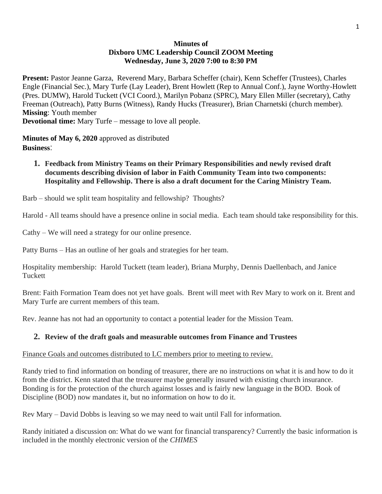### **Minutes of Dixboro UMC Leadership Council ZOOM Meeting Wednesday, June 3, 2020 7:00 to 8:30 PM**

**Present:** Pastor Jeanne Garza, Reverend Mary, Barbara Scheffer (chair), Kenn Scheffer (Trustees), Charles Engle (Financial Sec.), Mary Turfe (Lay Leader), Brent Howlett (Rep to Annual Conf.), Jayne Worthy-Howlett (Pres. DUMW), Harold Tuckett (VCI Coord.), Marilyn Pobanz (SPRC), Mary Ellen Miller (secretary), Cathy Freeman (Outreach), Patty Burns (Witness), Randy Hucks (Treasurer), Brian Charnetski (church member). **Missing**: Youth member

**Devotional time:** Mary Turfe – message to love all people.

**Minutes of May 6, 2020** approved as distributed **Business**:

**1. Feedback from Ministry Teams on their Primary Responsibilities and newly revised draft documents describing division of labor in Faith Community Team into two components: Hospitality and Fellowship. There is also a draft document for the Caring Ministry Team.**

Barb – should we split team hospitality and fellowship? Thoughts?

Harold - All teams should have a presence online in social media. Each team should take responsibility for this.

Cathy – We will need a strategy for our online presence.

Patty Burns – Has an outline of her goals and strategies for her team.

Hospitality membership: Harold Tuckett (team leader), Briana Murphy, Dennis Daellenbach, and Janice **Tuckett** 

Brent: Faith Formation Team does not yet have goals. Brent will meet with Rev Mary to work on it. Brent and Mary Turfe are current members of this team.

Rev. Jeanne has not had an opportunity to contact a potential leader for the Mission Team.

# **2. Review of the draft goals and measurable outcomes from Finance and Trustees**

# Finance Goals and outcomes distributed to LC members prior to meeting to review.

Randy tried to find information on bonding of treasurer, there are no instructions on what it is and how to do it from the district. Kenn stated that the treasurer maybe generally insured with existing church insurance. Bonding is for the protection of the church against losses and is fairly new language in the BOD. Book of Discipline (BOD) now mandates it, but no information on how to do it.

Rev Mary – David Dobbs is leaving so we may need to wait until Fall for information.

Randy initiated a discussion on: What do we want for financial transparency? Currently the basic information is included in the monthly electronic version of the *CHIMES*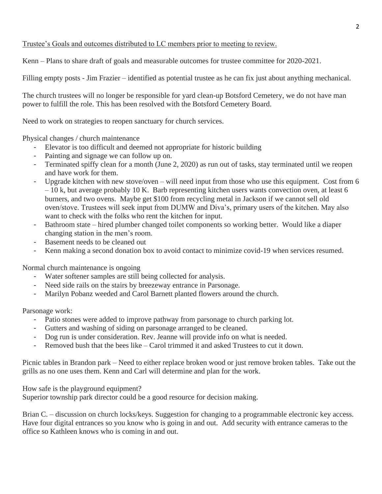#### Trustee's Goals and outcomes distributed to LC members prior to meeting to review.

Kenn – Plans to share draft of goals and measurable outcomes for trustee committee for 2020-2021.

Filling empty posts - Jim Frazier – identified as potential trustee as he can fix just about anything mechanical.

The church trustees will no longer be responsible for yard clean-up Botsford Cemetery, we do not have man power to fulfill the role. This has been resolved with the Botsford Cemetery Board.

Need to work on strategies to reopen sanctuary for church services.

Physical changes / church maintenance

- Elevator is too difficult and deemed not appropriate for historic building
- Painting and signage we can follow up on.
- Terminated spiffy clean for a month (June 2, 2020) as run out of tasks, stay terminated until we reopen and have work for them.
- Upgrade kitchen with new stove/oven will need input from those who use this equipment. Cost from 6 – 10 k, but average probably 10 K. Barb representing kitchen users wants convection oven, at least 6 burners, and two ovens. Maybe get \$100 from recycling metal in Jackson if we cannot sell old oven/stove. Trustees will seek input from DUMW and Diva's, primary users of the kitchen. May also want to check with the folks who rent the kitchen for input.
- Bathroom state hired plumber changed toilet components so working better. Would like a diaper changing station in the men's room.
- Basement needs to be cleaned out
- Kenn making a second donation box to avoid contact to minimize covid-19 when services resumed.

Normal church maintenance is ongoing

- Water softener samples are still being collected for analysis.
- Need side rails on the stairs by breezeway entrance in Parsonage.
- Marilyn Pobanz weeded and Carol Barnett planted flowers around the church.

Parsonage work:

- Patio stones were added to improve pathway from parsonage to church parking lot.
- Gutters and washing of siding on parsonage arranged to be cleaned.
- Dog run is under consideration. Rev. Jeanne will provide info on what is needed.
- Removed bush that the bees like Carol trimmed it and asked Trustees to cut it down.

Picnic tables in Brandon park – Need to either replace broken wood or just remove broken tables. Take out the grills as no one uses them. Kenn and Carl will determine and plan for the work.

How safe is the playground equipment?

Superior township park director could be a good resource for decision making.

Brian C. – discussion on church locks/keys. Suggestion for changing to a programmable electronic key access. Have four digital entrances so you know who is going in and out. Add security with entrance cameras to the office so Kathleen knows who is coming in and out.